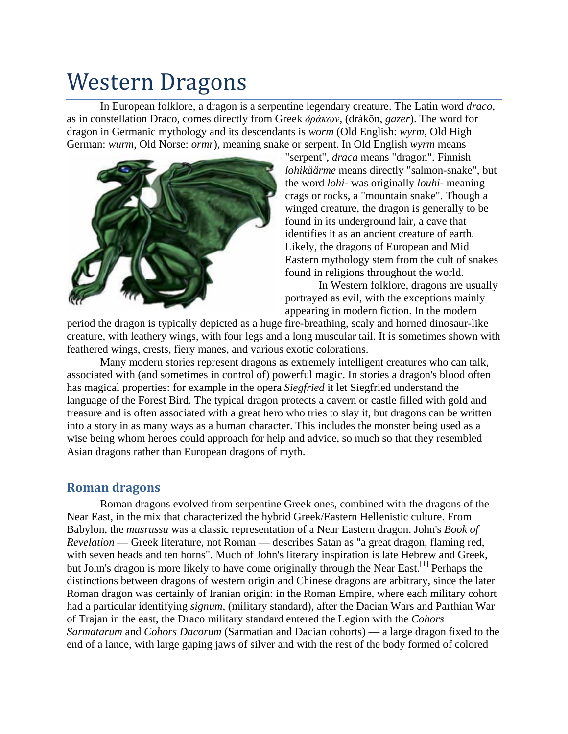# Western Dragons

In [European](http://en.wikipedia.org/wiki/Europe) [folklore,](http://en.wikipedia.org/wiki/Folklore) a [dragon](http://en.wikipedia.org/wiki/Dragon) is a [serpentine](http://en.wikipedia.org/wiki/Serpent_%28symbolism%29) [legendary creature.](http://en.wikipedia.org/wiki/Legendary_creature) The Latin word *draco,* as in [constellation Draco,](http://en.wikipedia.org/wiki/Draco_%28constellation%29) comes directly from [Greek](http://en.wikipedia.org/wiki/Ancient_Greek) *δράκων*, (drákōn, *gazer*). The word for dragon in [Germanic mythology](http://en.wikipedia.org/wiki/Germanic_mythology) and its descendants is *[worm](http://en.wiktionary.org/wiki/worm)* [\(Old English:](http://en.wikipedia.org/wiki/Old_English_language) *wyrm*, [Old High](http://en.wikipedia.org/wiki/Old_High_German)  [German:](http://en.wikipedia.org/wiki/Old_High_German) *wurm*, [Old Norse:](http://en.wikipedia.org/wiki/Old_Norse_language) *ormr*), meaning snake or serpent. In Old English *wyrm* means



"serpent", *draca* means "dragon". Finnish *lohikäärme* means directly "salmon-snake", but the word *lohi-* was originally *louhi-* meaning crags or rocks, a "mountain snake". Though a winged creature, the dragon is generally to be found in its underground [lair,](http://en.wikipedia.org/wiki/Lair) a cave that identifies it as an ancient creature of earth. Likely, the dragons of European and Mid Eastern mythology stem from the [cult of snakes](http://en.wikipedia.org/wiki/Serpent_%28symbolism%29) found in religions throughout the world.

In Western folklore, dragons are usually portrayed as [evil,](http://en.wikipedia.org/wiki/Evil) with the exceptions mainly appearing in modern fiction. In the modern

period the dragon is typically depicted as a huge fire-breathing, scaly and horned [dinosaur-](http://en.wikipedia.org/wiki/Dinosaur)like creature, with leathery wings, with four legs and a long muscular tail. It is sometimes shown with feathered wings, crests, fiery manes, and various exotic colorations.

Many modern stories represent dragons as extremely [intelligent](http://en.wikipedia.org/wiki/Intelligence_%28trait%29) creatures who can talk, associated with (and sometimes in control of) powerful [magic.](http://en.wikipedia.org/wiki/Magic_%28paranormal%29) In stories a dragon's blood often has magical properties: for example in the opera *[Siegfried](http://en.wikipedia.org/wiki/Siegfried_%28opera%29)* it let Siegfried understand the language of the Forest Bird. The typical dragon protects a cavern or castle filled with [gold](http://en.wikipedia.org/wiki/Gold) and [treasure](http://en.wikipedia.org/wiki/Treasure) and is often associated with a great hero who tries to slay it, but dragons can be written into a story in as many ways as a human character. This includes the monster being used as a wise being whom heroes could approach for help and advice, so much so that they resembled Asian dragons rather than European dragons of myth.

# **Roman dragons**

Roman dragons evolved from serpentine Greek ones, combined with the dragons of the [Near East,](http://en.wikipedia.org/wiki/Near_East) in the mix that characterized the hybrid Greek/Eastern [Hellenistic](http://en.wikipedia.org/wiki/Hellenistic) culture. From Babylon, the *[musrussu](http://en.wikipedia.org/wiki/Sirrush)* was a classic representation of a Near Eastern dragon. John's *[Book of](http://en.wikipedia.org/wiki/Book_of_Revelation)  [Revelation](http://en.wikipedia.org/wiki/Book_of_Revelation)* — Greek literature, not Roman — describes Satan as "a great dragon, flaming red, with seven heads and ten horns". Much of John's literary inspiration is late Hebrew and Greek, but John's dragon is more likely to have come originally through the Near East.<sup>[1]</sup> Perhaps the distinctions between dragons of western origin and [Chinese dragons](http://en.wikipedia.org/wiki/Chinese_dragon) are arbitrary, since the later Roman dragon was certainly of Iranian origin: in the Roman Empire, where each military cohort had a particular identifying *signum*, (military standard), after the [Dacian Wars](http://en.wikipedia.org/wiki/Dacian_Wars) and [Parthian War](http://en.wikipedia.org/w/index.php?title=Parthian_Wars&action=edit&redlink=1) of Trajan in the east, the Draco military standard entered the Legion with the *Cohors Sarmatarum* and *Cohors Dacorum* [\(Sarmatian](http://en.wikipedia.org/wiki/Sarmatian) and [Dacian](http://en.wikipedia.org/wiki/Dacian) [cohorts\)](http://en.wikipedia.org/wiki/Cohort) — a large dragon fixed to the end of a lance, with large gaping jaws of silver and with the rest of the body formed of colored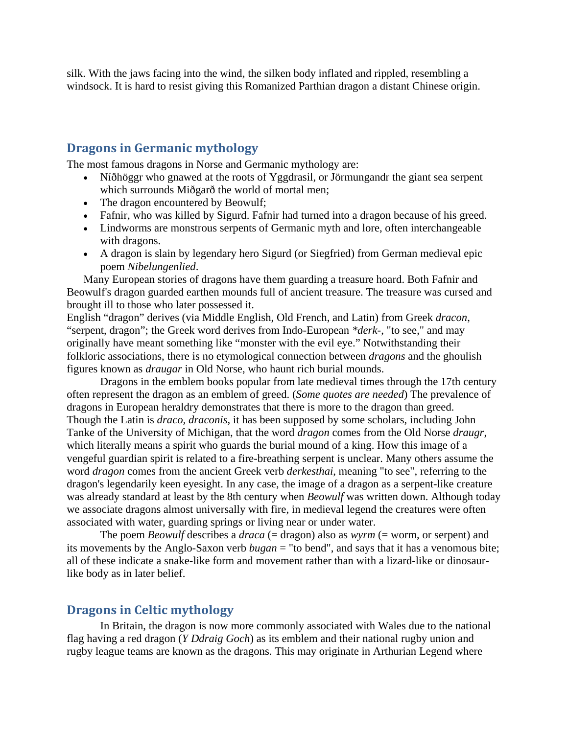silk. With the jaws facing into the wind, the silken body inflated and rippled, resembling a [windsock.](http://en.wikipedia.org/wiki/Windsock) It is hard to resist giving this Romanized Parthian dragon a distant Chinese origin.

### **Dragons in Germanic mythology**

The most famous dragons in [Norse and Germanic mythology](http://en.wikipedia.org/wiki/Norse_mythology) are:

- [Níðhöggr](http://en.wikipedia.org/wiki/N%C3%AD%C3%B0h%C3%B6ggr) who gnawed at the roots of [Yggdrasil,](http://en.wikipedia.org/wiki/Yggdrasil) or [Jörmungandr](http://en.wikipedia.org/wiki/J%C3%B6rmungandr) the giant sea serpent which surrounds [Miðgarð](http://en.wikipedia.org/wiki/Mi%C3%B0gar%C3%B0) the world of mortal men;
- The dragon encountered by [Beowulf;](http://en.wikipedia.org/wiki/Beowulf_%28character%29)
- [Fafnir,](http://en.wikipedia.org/wiki/Fafnir) who was killed by [Sigurd.](http://en.wikipedia.org/wiki/Sigurd) Fafnir had turned into a dragon because of his greed.
- [Lindworms](http://en.wikipedia.org/wiki/Lindworm) are monstrous serpents of Germanic myth and lore, often interchangeable with dragons.
- A dragon is slain by legendary hero [Sigurd](http://en.wikipedia.org/wiki/Sigurd) (or Siegfried) from German medieval epic poem *[Nibelungenlied](http://en.wikipedia.org/wiki/Nibelungenlied)*.

Many European stories of dragons have them guarding a treasure hoard. Both Fafnir and Beowulf's dragon guarded earthen mounds full of ancient treasure. The treasure was cursed and brought ill to those who later possessed it.

English "dragon" derives (via Middle English, Old French, and Latin) from Greek *dracon*, "serpent, dragon"; the Greek word derives from Indo-European *\*derk-*, "to see," and may originally have meant something like "monster with the evil eye." Notwithstanding their folkloric associations, there is no etymological connection between *dragons* and the ghoulish figures known as *draugar* in Old Norse, who haunt rich burial mounds.

Dragons in the emblem books popular from late medieval times through the 17th century often represent the dragon as an emblem of greed. (*Some quotes are needed*) The prevalence of dragons in European [heraldry](http://en.wikipedia.org/wiki/Heraldry) demonstrates that there is more to the dragon than greed. Though the Latin is *draco, draconis*, it has been supposed by some scholars, including [John](http://en.wikipedia.org/w/index.php?title=John_Tanke&action=edit&redlink=1)  [Tanke](http://en.wikipedia.org/w/index.php?title=John_Tanke&action=edit&redlink=1) of the [University of Michigan,](http://en.wikipedia.org/wiki/University_of_Michigan) that the word *dragon* comes from the [Old Norse](http://en.wikipedia.org/wiki/Old_Norse) *[draugr](http://en.wikipedia.org/wiki/Draugr)*, which literally means a spirit who guards the burial mound of a king. How this image of a vengeful guardian spirit is related to a fire-breathing serpent is unclear. Many others assume the word *dragon* comes from the ancient [Greek](http://en.wikipedia.org/wiki/Greek_language) verb *derkesthai*, meaning "to see", referring to the dragon's legendarily keen eyesight. In any case, the image of a dragon as a serpent-like creature was already standard at least by the 8th century when *Beowulf* was written down. Although today we associate dragons almost universally with fire, in medieval legend the creatures were often associated with water, guarding springs or living near or under water.

The poem *[Beowulf](http://en.wikipedia.org/wiki/Beowulf)* describes a *draca* (= dragon) also as *wyrm* (= worm, or serpent) and its movements by the Anglo-Saxon verb *bugan* = "to bend", and says that it has a [venomous](http://en.wikipedia.org/wiki/Venom) bite; all of these indicate a snake-like form and movement rather than with a lizard-like or dinosaurlike body as in later belief.

#### **Dragons in Celtic mythology**

In Britain, the dragon is now more commonly associated with [Wales](http://en.wikipedia.org/wiki/Wales) due to the national flag having a red dragon (*[Y Ddraig Goch](http://en.wikipedia.org/wiki/Y_Ddraig_Goch)*) as its emblem and their national [rugby union](http://en.wikipedia.org/wiki/Rugby_union_in_Wales) and [rugby league](http://en.wikipedia.org/wiki/Rugby_league_in_Wales) teams are known as the dragons. This may originate in [Arthurian Legend](http://en.wikipedia.org/wiki/Arthurian_Legend) where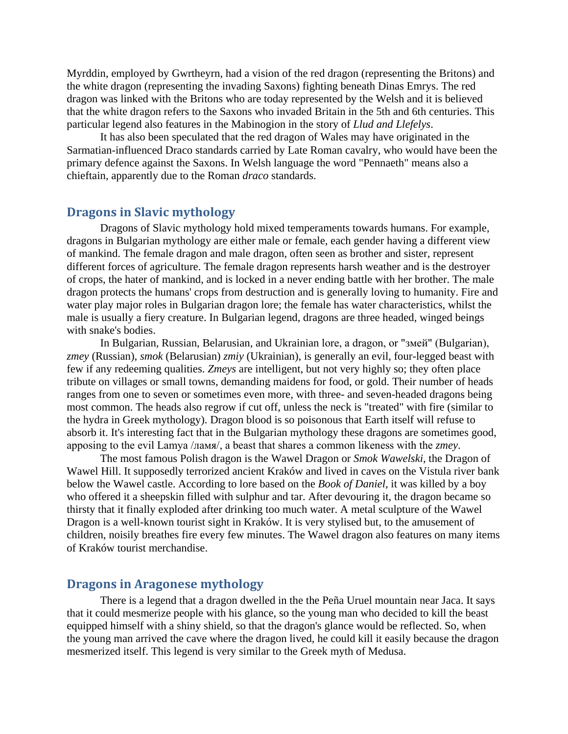[Myrddin,](http://en.wikipedia.org/w/index.php?title=Myrddin_%28wizard%29&action=edit&redlink=1) employed by [Gwrtheyrn,](http://en.wikipedia.org/wiki/Gwrtheyrn) had a vision of the red dragon (representing the Britons) and the white dragon (representing the invading [Saxons\)](http://en.wikipedia.org/wiki/Saxons) fighting beneath [Dinas Emrys.](http://en.wikipedia.org/wiki/Dinas_Emrys) The red dragon was linked with the [Britons](http://en.wikipedia.org/wiki/Brython) who are today represented by the [Welsh](http://en.wikipedia.org/wiki/Wales) and it is believed that the white dragon refers to the [Saxons](http://en.wikipedia.org/wiki/Saxons) who invaded [Britain](http://en.wikipedia.org/wiki/Great_Britain) in the 5th and 6th centuries. This particular legend also features in the [Mabinogion](http://en.wikipedia.org/wiki/Mabinogion) in the story of *Llud and Llefelys*.

It has also been speculated that the red dragon of Wales may have originated in the Sarmatian-influenced [Draco standards](http://en.wikipedia.org/wiki/Draco_%28military_standard%29) carried by Late Roman cavalry, who would have been the primary defence against the Saxons. In [Welsh language](http://en.wikipedia.org/wiki/Welsh_language) the word "Pennaeth" means also a chieftain, apparently due to the Roman *draco* standards.

#### **Dragons in Slavic mythology**

Dragons of [Slavic mythology](http://en.wikipedia.org/wiki/Slavic_mythology) hold mixed temperaments towards humans. For example, dragons in [Bulgarian](http://en.wikipedia.org/wiki/Bulgarians) mythology are either [male](http://en.wikipedia.org/wiki/Male) or [female,](http://en.wikipedia.org/wiki/Female) each gender having a different view of mankind. The female dragon and male dragon, often seen as brother and sister, represent different forces of [agriculture.](http://en.wikipedia.org/wiki/Agriculture) The female dragon represents harsh weather and is the destroyer of crops, the hater of mankind, and is locked in a never ending battle with her brother. The male dragon protects the humans' crops from destruction and is generally loving to humanity. [Fire](http://en.wikipedia.org/wiki/Fire) and [water](http://en.wikipedia.org/wiki/Water) play major roles in Bulgarian dragon lore; the female has water characteristics, whilst the male is usually a fiery creature. In Bulgarian legend, dragons are three headed, winged beings with [snake's](http://en.wikipedia.org/wiki/Snake) bodies.

In [Bulgarian,](http://en.wikipedia.org/wiki/Bulgarians) [Russian,](http://en.wikipedia.org/wiki/Russians) [Belarusian,](http://en.wikipedia.org/wiki/Belarusians) and [Ukrainian](http://en.wikipedia.org/wiki/Ukrainians) lore, a dragon, or "змей" (Bulgarian), *[zmey](http://en.wikipedia.org/wiki/Zmey)* (Russian), *smok* (Belarusian) *zmiy* (Ukrainian), is generally an evil, four-legged beast with few if any redeeming qualities. *Zmeys* are intelligent, but not very highly so; they often place tribute on villages or small towns, demanding [maidens](http://en.wikipedia.org/wiki/Maiden) for food, or [gold.](http://en.wikipedia.org/wiki/Gold) Their number of heads ranges from one to seven or sometimes even more, with three- and seven-headed dragons being most common. The heads also regrow if cut off, unless the neck is "treated" with fire (similar to the hydra in Greek mythology). [Dragon blood](http://en.wikipedia.org/wiki/Dragon_blood) is so poisonous that Earth itself will refuse to absorb it. It's interesting fact that in the Bulgarian mythology these dragons are sometimes good, apposing to the evil Lamya /ламя/, a beast that shares a common likeness with the *zmey*.

The most famous [Polish](http://en.wikipedia.org/wiki/Poland) dragon is the [Wawel Dragon](http://en.wikipedia.org/wiki/Wawel_Dragon) or *[Smok Wawelski](http://en.wikipedia.org/wiki/Smok_Wawelski)*, the Dragon of Wawel Hill. It supposedly terrorized ancient [Kraków](http://en.wikipedia.org/wiki/Krak%C3%B3w) and lived in caves on the [Vistula](http://en.wikipedia.org/wiki/Vistula) river bank below the [Wawel](http://en.wikipedia.org/wiki/Wawel) castle. According to lore based on the *[Book of Daniel](http://en.wikipedia.org/wiki/Book_of_Daniel)*, it was killed by a boy who offered it a [sheepskin](http://en.wikipedia.org/wiki/Sheepskin_%28material%29) filled with sulphur and tar. After devouring it, the dragon became so thirsty that it finally exploded after drinking too much water. A metal sculpture of the Wawel Dragon is a well-known tourist sight in Kraków. It is very stylised but, to the amusement of children, noisily breathes fire every few minutes. The Wawel dragon also features on many items of Kraków tourist merchandise.

#### **Dragons in Aragonese mythology**

There is a legend that a dragon dwelled in the the Peña Uruel mountain near [Jaca.](http://en.wikipedia.org/wiki/Jaca) It says that it could mesmerize people with his glance, so the young man who decided to kill the beast equipped himself with a shiny shield, so that the dragon's glance would be reflected. So, when the young man arrived the cave where the dragon lived, he could kill it easily because the dragon mesmerized itself. This legend is very similar to the Greek myth of [Medusa.](http://en.wikipedia.org/wiki/Medusa)